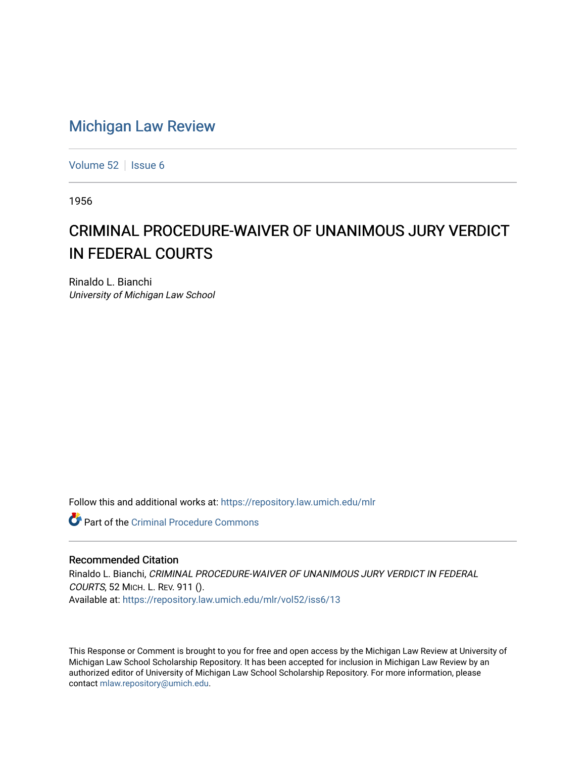## [Michigan Law Review](https://repository.law.umich.edu/mlr)

[Volume 52](https://repository.law.umich.edu/mlr/vol52) | [Issue 6](https://repository.law.umich.edu/mlr/vol52/iss6)

1956

## CRIMINAL PROCEDURE-WAIVER OF UNANIMOUS JURY VERDICT IN FEDERAL COURTS

Rinaldo L. Bianchi University of Michigan Law School

Follow this and additional works at: [https://repository.law.umich.edu/mlr](https://repository.law.umich.edu/mlr?utm_source=repository.law.umich.edu%2Fmlr%2Fvol52%2Fiss6%2F13&utm_medium=PDF&utm_campaign=PDFCoverPages) 

**C** Part of the Criminal Procedure Commons

## Recommended Citation

Rinaldo L. Bianchi, CRIMINAL PROCEDURE-WAIVER OF UNANIMOUS JURY VERDICT IN FEDERAL COURTS, 52 MICH. L. REV. 911 (). Available at: [https://repository.law.umich.edu/mlr/vol52/iss6/13](https://repository.law.umich.edu/mlr/vol52/iss6/13?utm_source=repository.law.umich.edu%2Fmlr%2Fvol52%2Fiss6%2F13&utm_medium=PDF&utm_campaign=PDFCoverPages) 

This Response or Comment is brought to you for free and open access by the Michigan Law Review at University of Michigan Law School Scholarship Repository. It has been accepted for inclusion in Michigan Law Review by an authorized editor of University of Michigan Law School Scholarship Repository. For more information, please contact [mlaw.repository@umich.edu](mailto:mlaw.repository@umich.edu).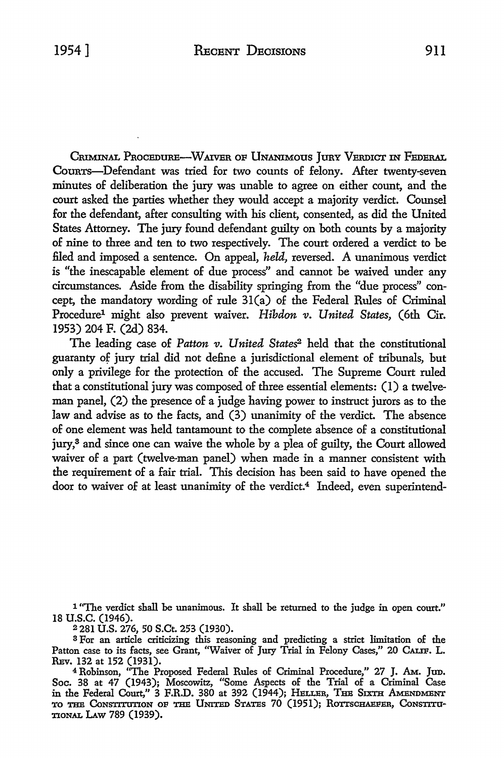CRIMINAL PROCEDURE-WAIVER OF UNANIMOUS JURY VERDICT IN FEDERAL Courrs-Defendant was tried for two counts of felony. After twenty-seven minutes of deliberation the jury was unable to agree on either count, and the court asked the parties whether they would accept a majority verdict. Counsel for the defendant, after consulting with his client, consented, as did the United States Attorney. The jury found defendant guilty on both counts by a majority of nine to three and ten to two respectively. The court ordered a verdict to be filed and imposed a sentence. On appeal, *held,* reversed. A unanimous verdict **is** "the inescapable element of due process" and cannot be waived under any circumstances. Aside from the disability springing from the "due process" concept, the mandatory wording of rule 31(a) of the Federal Rules of Criminal Procedure<sup>1</sup> might also prevent waiver. *Hibdon v. United States*, (6th Cir. 1953) 204 F. (2d) 834.

The leading case of *Patton v. United States<sup>2</sup>* held that the constitutional guaranty of jury trial did not define a jurisdictional element of tribunals, but only a privilege for the protection of the accused. The Supreme Court ruled that a constitutional jury was composed of three essential elements: (I) a twelveman panel, (2) the presence of a judge having power to instruct jurors as to the law and advise as to the facts, and (3) unanimity of the verdict. The absence of one element was held tantamount to the complete absence of a constitutional jury,<sup>3</sup> and since one can waive the whole by a plea of guilty, the Court allowed waiver of a part (twelve-man panel) when made in a manner consistent with the requirement of a fair trial. This decision has been said to have opened the door to waiver of at least unanimity of the verdict.<sup>4</sup> Indeed, even superintend-

1 "The verdict shall be unanimous. It shall be returned to the judge in open court." 18 u.s.c. (1946).

<sup>2</sup>281 U.S. 276, 50 S.Ct. 253 (1930).

s For an article criticizing this reasoning and predicting a strict limitation of the Patton case to its facts, see Grant, "Waiver of Jury Trial in Felony Cases," 20 CALIF. L. REv. 132 at 152 (1931).

<sup>4</sup>Robinson, "The Proposed Federal Rules of Criminal Procedure," 27 J. AM.. Jtm. Soc. 38 at 47 (1943); Moscowitz, "Some Aspects of the Trial of a Criminal Case in the Federal Court," 3 F.R.D. 380 at 392 (1944); HELLER, THE SIXTH AMENDMENT TO THE CONSTITUTION OF THE UNITED STATES 70 (1951); ROTTSCHAEFER, CONSTITU-TIONAL LAW 789 (1939).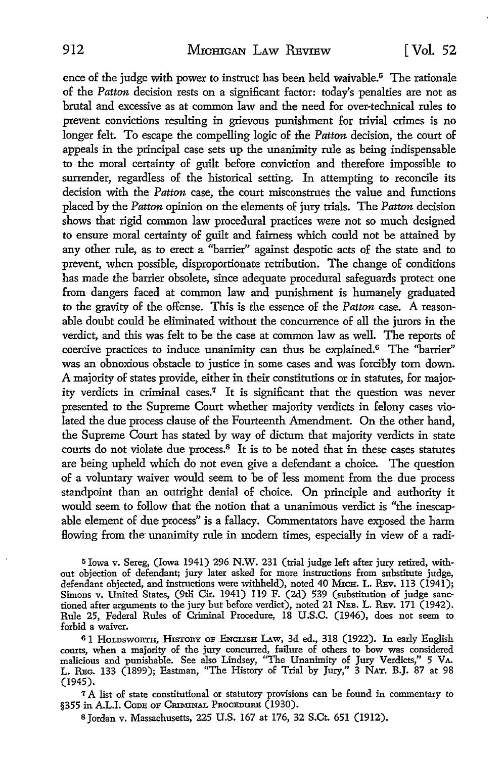ence of the judge with power to instruct has been held waivable.<sup>5</sup> The rationale of the *Patton* decision rests on a significant factor: today's penalties are not as brutal and excessive as at common law and the need for over-technical rules to prevent convictions resulting in grievous punishment for trivial crimes is no longer felt. To escape the compelling logic of the *Patton* decision, the court of appeals in the principal case sets up the unanimity rule as being indispensable to the moral certainty of guilt before conviction and therefore impossible to surrender, regardless of the historical setting. In attempting to reconcile its decision with the *Patton* case, the court misconstrues the value and functions placed by the *Patton* opinion on the elements of jury trials. The *Patton* decision shows that rigid common law procedural practices were not so much designed to ensure moral certainty of guilt and fairness which could not be attained by any other rule, as to erect a ''barrier" against despotic acts of the state and to prevent, when possible, disproportionate retribution. The change of conditions has made the barrier obsolete, since adequate procedural safeguards protect one from dangers faced at common law and punishment is humanely graduated to the gravity of the offense. This is the essence of the *Patton* case. A reasonable doubt could be eliminated without the concurrence of all the jurors in the verdict, and this was felt to be the case at common law as well. The reports of coercive practices to induce unanimity can thus be explained.<sup>6</sup> The "barrier" was an obnoxious obstacle to justice in some cases and was forcibly torn down. A majority of states provide, either in their constitutions or in statutes, for majority verdicts in criminal cases.7 It is significant that the question was never presented to the Supreme Court whether majority verdicts in felony cases violated the due process clause of the Fourteenth Amendment. On the other hand, the Supreme Court has stated by way of dictum that majority verdicts in state courts do not violate due process.8 It is to be noted that in these cases statutes are being upheld which do not even give a defendant a choice. The question of a voluntary waiver would seem to be of less moment from the due process standpoint than an outright denial of choice. On principle and authority it would seem to follow that the notion that a unanimous verdict is "the inescapable element of due process" is a fallacy. Commentators have exposed the harm flowing from the unanimity rule in modern times, especially in view of a radi-

5 Iowa v. Sereg, (Iowa 1941) 296 N.W. 231 (trial judge left after jury retired, without objection of defendant; jury later asked for more instructions from substitute judge, defendant objected, and instructions were withheld), noted 40 MICH. L. REV. 113 (1941); Simons v. United States, (9th Cir. 1941) 119 F. (2d) 539 (substitution of judge sanctioned after arguments to the jury but before verdict), noted 21 NEB, L. REv. 171 (1942). Rule 25, Federal Rules of Criminal Procedure, 18 U.S.C. (1946), does not seem to forbid a waiver.

61 HOLDSWORTH, HISTORY OF ENGLISH LAW, 3d ed., 318 (1922). In early English courts, when a majority of the jury concurred, failure of others to bow was considered malicious and punishable. See also Lindsey, "The Unanimity of Jury Verdicts," 5 VA. L. REG. 133 (1899); Eastman, "The History of Trial by Jury," 3 NAT. B.J. 87 at 98 (1945).

<sup>7</sup>A list of state constitutional or statutory provisions can be found in commentary to §355 in A.L.I. Code of Criminal Procedure (1930).

s Jordan v. Massachusetts, 225 U.S. 167 at 176, 32 S.Ct. 651 (1912).